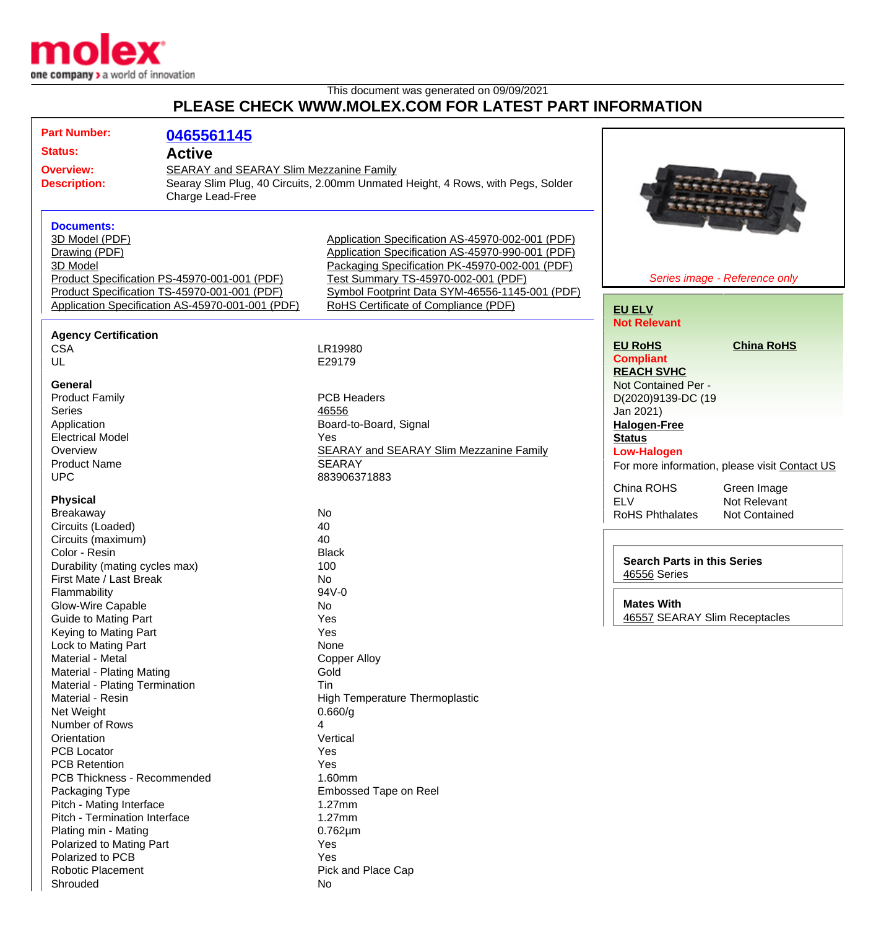

This document was generated on 09/09/2021

## **PLEASE CHECK WWW.MOLEX.COM FOR LATEST PART INFORMATION**

| <b>Part Number:</b>                                                                                                                                                   | 0465561145                                       |                                                                                                    |                                                         |
|-----------------------------------------------------------------------------------------------------------------------------------------------------------------------|--------------------------------------------------|----------------------------------------------------------------------------------------------------|---------------------------------------------------------|
| <b>Status:</b><br><b>Overview:</b>                                                                                                                                    | <b>Active</b>                                    |                                                                                                    |                                                         |
| SEARAY and SEARAY Slim Mezzanine Family<br>Searay Slim Plug, 40 Circuits, 2.00mm Unmated Height, 4 Rows, with Pegs, Solder<br><b>Description:</b><br>Charge Lead-Free |                                                  |                                                                                                    |                                                         |
| <b>Documents:</b>                                                                                                                                                     |                                                  |                                                                                                    |                                                         |
| 3D Model (PDF)                                                                                                                                                        |                                                  | Application Specification AS-45970-002-001 (PDF)                                                   |                                                         |
| Drawing (PDF)<br>3D Model                                                                                                                                             |                                                  | Application Specification AS-45970-990-001 (PDF)<br>Packaging Specification PK-45970-002-001 (PDF) |                                                         |
|                                                                                                                                                                       | Product Specification PS-45970-001-001 (PDF)     | Test Summary TS-45970-002-001 (PDF)                                                                | Series image - Reference only                           |
|                                                                                                                                                                       | Product Specification TS-45970-001-001 (PDF)     | Symbol Footprint Data SYM-46556-1145-001 (PDF)                                                     |                                                         |
|                                                                                                                                                                       | Application Specification AS-45970-001-001 (PDF) | RoHS Certificate of Compliance (PDF)                                                               | <b>EU ELV</b>                                           |
|                                                                                                                                                                       |                                                  |                                                                                                    | <b>Not Relevant</b>                                     |
| <b>Agency Certification</b>                                                                                                                                           |                                                  |                                                                                                    |                                                         |
| <b>CSA</b>                                                                                                                                                            |                                                  | LR19980                                                                                            | <b>EU RoHS</b><br><b>China RoHS</b><br><b>Compliant</b> |
| UL                                                                                                                                                                    |                                                  | E29179                                                                                             | <b>REACH SVHC</b>                                       |
| General                                                                                                                                                               |                                                  |                                                                                                    | Not Contained Per -                                     |
| <b>Product Family</b>                                                                                                                                                 |                                                  | <b>PCB Headers</b>                                                                                 | D(2020)9139-DC (19                                      |
| <b>Series</b>                                                                                                                                                         |                                                  | 46556                                                                                              | Jan 2021)                                               |
| Application                                                                                                                                                           |                                                  | Board-to-Board, Signal                                                                             | <b>Halogen-Free</b>                                     |
| <b>Electrical Model</b>                                                                                                                                               |                                                  | Yes                                                                                                | <b>Status</b>                                           |
| Overview                                                                                                                                                              |                                                  | <b>SEARAY and SEARAY Slim Mezzanine Family</b>                                                     | <b>Low-Halogen</b>                                      |
| <b>Product Name</b>                                                                                                                                                   |                                                  | <b>SEARAY</b>                                                                                      | For more information, please visit Contact US           |
| <b>UPC</b>                                                                                                                                                            |                                                  | 883906371883                                                                                       | China ROHS<br>Green Image                               |
| <b>Physical</b>                                                                                                                                                       |                                                  |                                                                                                    | <b>ELV</b><br>Not Relevant                              |
| Breakaway                                                                                                                                                             |                                                  | No                                                                                                 | <b>RoHS Phthalates</b><br><b>Not Contained</b>          |
| Circuits (Loaded)                                                                                                                                                     |                                                  | 40                                                                                                 |                                                         |
| Circuits (maximum)                                                                                                                                                    |                                                  | 40                                                                                                 |                                                         |
| Color - Resin                                                                                                                                                         |                                                  | <b>Black</b>                                                                                       | <b>Search Parts in this Series</b>                      |
| Durability (mating cycles max)                                                                                                                                        |                                                  | 100                                                                                                | 46556 Series                                            |
| First Mate / Last Break                                                                                                                                               |                                                  | No.<br>94V-0                                                                                       |                                                         |
| Flammability<br>Glow-Wire Capable                                                                                                                                     |                                                  | No                                                                                                 | <b>Mates With</b>                                       |
| Guide to Mating Part                                                                                                                                                  |                                                  | Yes                                                                                                | 46557 SEARAY Slim Receptacles                           |
| Keying to Mating Part                                                                                                                                                 |                                                  | Yes                                                                                                |                                                         |
| Lock to Mating Part                                                                                                                                                   |                                                  | None                                                                                               |                                                         |
| Material - Metal                                                                                                                                                      |                                                  | <b>Copper Alloy</b>                                                                                |                                                         |
| Material - Plating Mating                                                                                                                                             |                                                  | Gold                                                                                               |                                                         |
| Material - Plating Termination                                                                                                                                        |                                                  | Tin                                                                                                |                                                         |
| Material - Resin                                                                                                                                                      |                                                  | High Temperature Thermoplastic                                                                     |                                                         |
| Net Weight<br>Number of Rows                                                                                                                                          |                                                  | 0.660/g                                                                                            |                                                         |
| Orientation                                                                                                                                                           |                                                  | 4<br>Vertical                                                                                      |                                                         |
| <b>PCB Locator</b>                                                                                                                                                    |                                                  | Yes                                                                                                |                                                         |
| <b>PCB Retention</b>                                                                                                                                                  |                                                  | Yes                                                                                                |                                                         |
| PCB Thickness - Recommended                                                                                                                                           |                                                  | 1.60mm                                                                                             |                                                         |
| Packaging Type                                                                                                                                                        |                                                  | <b>Embossed Tape on Reel</b>                                                                       |                                                         |
| Pitch - Mating Interface                                                                                                                                              |                                                  | $1.27$ mm                                                                                          |                                                         |
| Pitch - Termination Interface                                                                                                                                         |                                                  | $1.27$ mm                                                                                          |                                                         |
| Plating min - Mating                                                                                                                                                  |                                                  | $0.762 \mu m$                                                                                      |                                                         |
| Polarized to Mating Part                                                                                                                                              |                                                  | Yes                                                                                                |                                                         |
| Polarized to PCB<br><b>Robotic Placement</b>                                                                                                                          |                                                  | Yes<br>Pick and Place Cap                                                                          |                                                         |
| Shrouded                                                                                                                                                              |                                                  | No                                                                                                 |                                                         |
|                                                                                                                                                                       |                                                  |                                                                                                    |                                                         |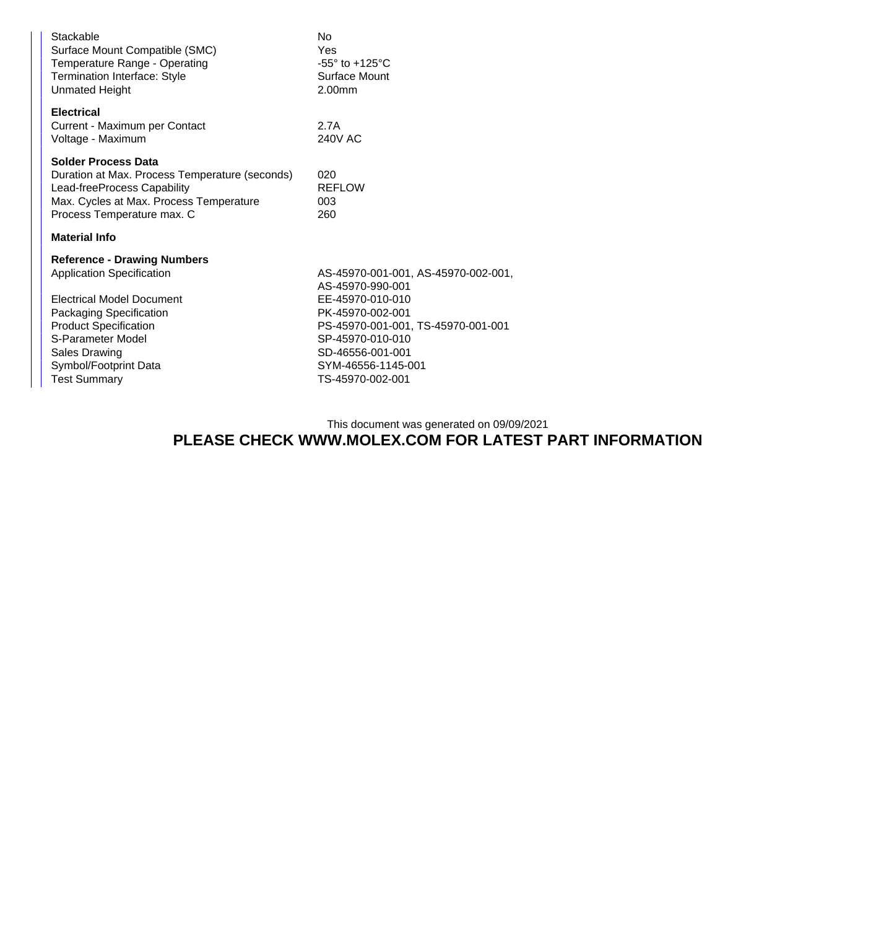| Stackable<br>Surface Mount Compatible (SMC)<br>Temperature Range - Operating<br><b>Termination Interface: Style</b><br><b>Unmated Height</b>                                                                                                                              | No<br>Yes<br>$-55^\circ$ to $+125^\circ$ C<br>Surface Mount<br>2.00mm                                                                                                                                                   |
|---------------------------------------------------------------------------------------------------------------------------------------------------------------------------------------------------------------------------------------------------------------------------|-------------------------------------------------------------------------------------------------------------------------------------------------------------------------------------------------------------------------|
| <b>Electrical</b><br>Current - Maximum per Contact<br>Voltage - Maximum                                                                                                                                                                                                   | 2.7A<br>240V AC                                                                                                                                                                                                         |
| <b>Solder Process Data</b><br>Duration at Max. Process Temperature (seconds)<br>Lead-freeProcess Capability<br>Max. Cycles at Max. Process Temperature<br>Process Temperature max. C                                                                                      | 020<br><b>REFLOW</b><br>003<br>260                                                                                                                                                                                      |
| <b>Material Info</b>                                                                                                                                                                                                                                                      |                                                                                                                                                                                                                         |
| <b>Reference - Drawing Numbers</b><br><b>Application Specification</b><br><b>Electrical Model Document</b><br><b>Packaging Specification</b><br><b>Product Specification</b><br>S-Parameter Model<br><b>Sales Drawing</b><br>Symbol/Footprint Data<br><b>Test Summary</b> | AS-45970-001-001, AS-45970-002-001,<br>AS-45970-990-001<br>EE-45970-010-010<br>PK-45970-002-001<br>PS-45970-001-001, TS-45970-001-001<br>SP-45970-010-010<br>SD-46556-001-001<br>SYM-46556-1145-001<br>TS-45970-002-001 |

This document was generated on 09/09/2021

## **PLEASE CHECK WWW.MOLEX.COM FOR LATEST PART INFORMATION**